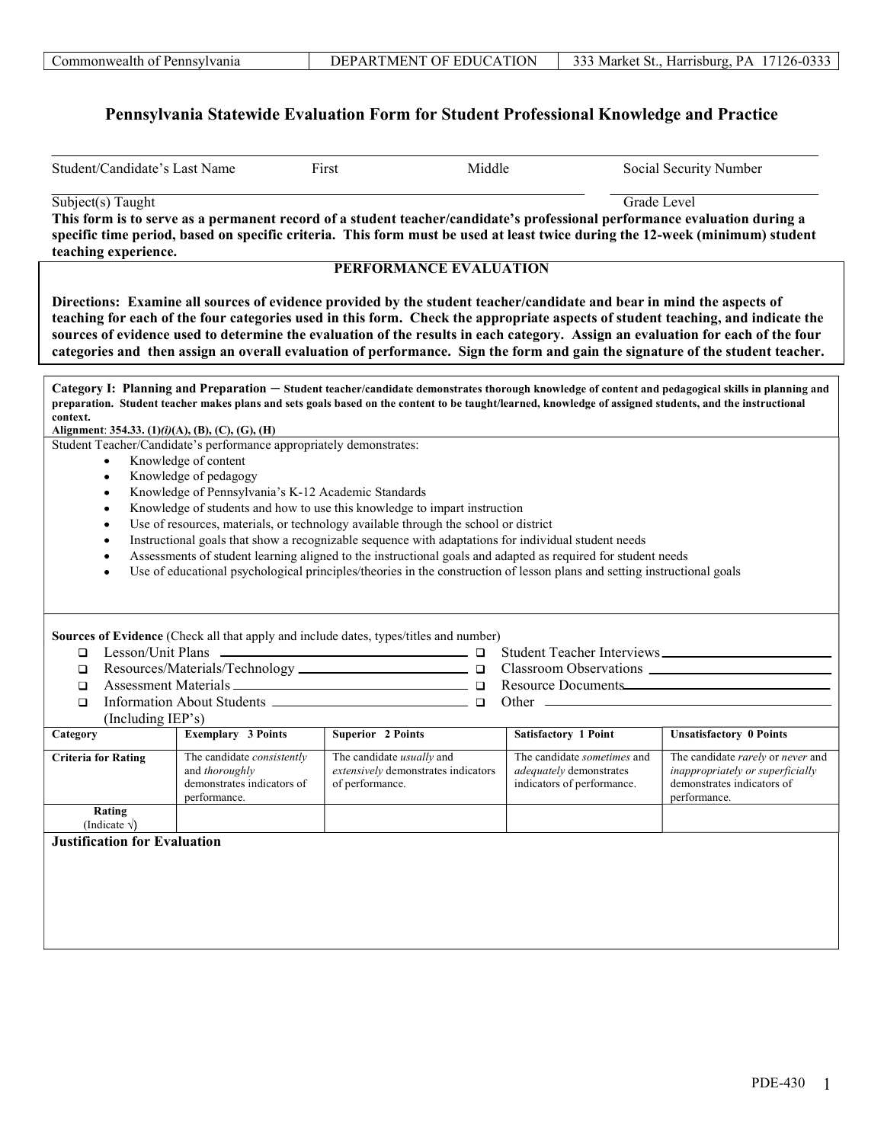## Pennsylvania Statewide Evaluation Form for Student Professional Knowledge and Practice

| Student/Candidate's Last Name                                  |                                                                                            | Middle<br>First                                                                                                                                                                                                                                                                                                                                                                                                                                                                                                              |                                                                                      | Social Security Number                                                                                              |
|----------------------------------------------------------------|--------------------------------------------------------------------------------------------|------------------------------------------------------------------------------------------------------------------------------------------------------------------------------------------------------------------------------------------------------------------------------------------------------------------------------------------------------------------------------------------------------------------------------------------------------------------------------------------------------------------------------|--------------------------------------------------------------------------------------|---------------------------------------------------------------------------------------------------------------------|
| $\overline{\text{Subject(s)}$ Taught<br>teaching experience.   |                                                                                            | This form is to serve as a permanent record of a student teacher/candidate's professional performance evaluation during a<br>specific time period, based on specific criteria. This form must be used at least twice during the 12-week (minimum) student                                                                                                                                                                                                                                                                    |                                                                                      | Grade Level                                                                                                         |
|                                                                |                                                                                            | <b>PERFORMANCE EVALUATION</b>                                                                                                                                                                                                                                                                                                                                                                                                                                                                                                |                                                                                      |                                                                                                                     |
|                                                                |                                                                                            | Directions: Examine all sources of evidence provided by the student teacher/candidate and bear in mind the aspects of<br>teaching for each of the four categories used in this form. Check the appropriate aspects of student teaching, and indicate the<br>sources of evidence used to determine the evaluation of the results in each category. Assign an evaluation for each of the four<br>categories and then assign an overall evaluation of performance. Sign the form and gain the signature of the student teacher. |                                                                                      |                                                                                                                     |
| context.                                                       |                                                                                            | Category I: Planning and Preparation - Student teacher/candidate demonstrates thorough knowledge of content and pedagogical skills in planning and<br>preparation. Student teacher makes plans and sets goals based on the content to be taught/learned, knowledge of assigned students, and the instructional                                                                                                                                                                                                               |                                                                                      |                                                                                                                     |
| Alignment: 354.33. $(1)(i)(A)$ , $(B)$ , $(C)$ , $(G)$ , $(H)$ | Student Teacher/Candidate's performance appropriately demonstrates:                        |                                                                                                                                                                                                                                                                                                                                                                                                                                                                                                                              |                                                                                      |                                                                                                                     |
| $\bullet$                                                      | Knowledge of content                                                                       |                                                                                                                                                                                                                                                                                                                                                                                                                                                                                                                              |                                                                                      |                                                                                                                     |
|                                                                | Knowledge of pedagogy                                                                      |                                                                                                                                                                                                                                                                                                                                                                                                                                                                                                                              |                                                                                      |                                                                                                                     |
|                                                                | Knowledge of Pennsylvania's K-12 Academic Standards                                        |                                                                                                                                                                                                                                                                                                                                                                                                                                                                                                                              |                                                                                      |                                                                                                                     |
|                                                                |                                                                                            | Knowledge of students and how to use this knowledge to impart instruction                                                                                                                                                                                                                                                                                                                                                                                                                                                    |                                                                                      |                                                                                                                     |
|                                                                |                                                                                            | Use of resources, materials, or technology available through the school or district                                                                                                                                                                                                                                                                                                                                                                                                                                          |                                                                                      |                                                                                                                     |
|                                                                |                                                                                            | Instructional goals that show a recognizable sequence with adaptations for individual student needs                                                                                                                                                                                                                                                                                                                                                                                                                          |                                                                                      |                                                                                                                     |
|                                                                |                                                                                            | Assessments of student learning aligned to the instructional goals and adapted as required for student needs                                                                                                                                                                                                                                                                                                                                                                                                                 |                                                                                      |                                                                                                                     |
|                                                                |                                                                                            | Use of educational psychological principles/theories in the construction of lesson plans and setting instructional goals                                                                                                                                                                                                                                                                                                                                                                                                     |                                                                                      |                                                                                                                     |
|                                                                |                                                                                            |                                                                                                                                                                                                                                                                                                                                                                                                                                                                                                                              |                                                                                      |                                                                                                                     |
|                                                                |                                                                                            |                                                                                                                                                                                                                                                                                                                                                                                                                                                                                                                              |                                                                                      |                                                                                                                     |
|                                                                |                                                                                            |                                                                                                                                                                                                                                                                                                                                                                                                                                                                                                                              |                                                                                      |                                                                                                                     |
|                                                                |                                                                                            | Sources of Evidence (Check all that apply and include dates, types/titles and number)                                                                                                                                                                                                                                                                                                                                                                                                                                        |                                                                                      |                                                                                                                     |
| $\Box$                                                         |                                                                                            |                                                                                                                                                                                                                                                                                                                                                                                                                                                                                                                              |                                                                                      |                                                                                                                     |
| □                                                              |                                                                                            |                                                                                                                                                                                                                                                                                                                                                                                                                                                                                                                              |                                                                                      |                                                                                                                     |
| □                                                              |                                                                                            |                                                                                                                                                                                                                                                                                                                                                                                                                                                                                                                              | Resource Documents                                                                   |                                                                                                                     |
| $\Box$                                                         |                                                                                            |                                                                                                                                                                                                                                                                                                                                                                                                                                                                                                                              |                                                                                      |                                                                                                                     |
| (Including IEP's)<br>Category                                  | <b>Exemplary 3 Points</b>                                                                  | Superior 2 Points                                                                                                                                                                                                                                                                                                                                                                                                                                                                                                            | <b>Satisfactory 1 Point</b>                                                          | <b>Unsatisfactory 0 Points</b>                                                                                      |
|                                                                |                                                                                            |                                                                                                                                                                                                                                                                                                                                                                                                                                                                                                                              |                                                                                      |                                                                                                                     |
| <b>Criteria for Rating</b>                                     | The candidate consistently<br>and thoroughly<br>demonstrates indicators of<br>performance. | The candidate <i>usually</i> and<br>extensively demonstrates indicators<br>of performance.                                                                                                                                                                                                                                                                                                                                                                                                                                   | The candidate sometimes and<br>adequately demonstrates<br>indicators of performance. | The candidate rarely or never and<br>inappropriately or superficially<br>demonstrates indicators of<br>performance. |
| Rating                                                         |                                                                                            |                                                                                                                                                                                                                                                                                                                                                                                                                                                                                                                              |                                                                                      |                                                                                                                     |
| (Indicate $\sqrt{}$ )                                          |                                                                                            |                                                                                                                                                                                                                                                                                                                                                                                                                                                                                                                              |                                                                                      |                                                                                                                     |
| <b>Justification for Evaluation</b>                            |                                                                                            |                                                                                                                                                                                                                                                                                                                                                                                                                                                                                                                              |                                                                                      |                                                                                                                     |
|                                                                |                                                                                            |                                                                                                                                                                                                                                                                                                                                                                                                                                                                                                                              |                                                                                      |                                                                                                                     |
|                                                                |                                                                                            |                                                                                                                                                                                                                                                                                                                                                                                                                                                                                                                              |                                                                                      |                                                                                                                     |
|                                                                |                                                                                            |                                                                                                                                                                                                                                                                                                                                                                                                                                                                                                                              |                                                                                      |                                                                                                                     |
|                                                                |                                                                                            |                                                                                                                                                                                                                                                                                                                                                                                                                                                                                                                              |                                                                                      |                                                                                                                     |
|                                                                |                                                                                            |                                                                                                                                                                                                                                                                                                                                                                                                                                                                                                                              |                                                                                      |                                                                                                                     |
|                                                                |                                                                                            |                                                                                                                                                                                                                                                                                                                                                                                                                                                                                                                              |                                                                                      |                                                                                                                     |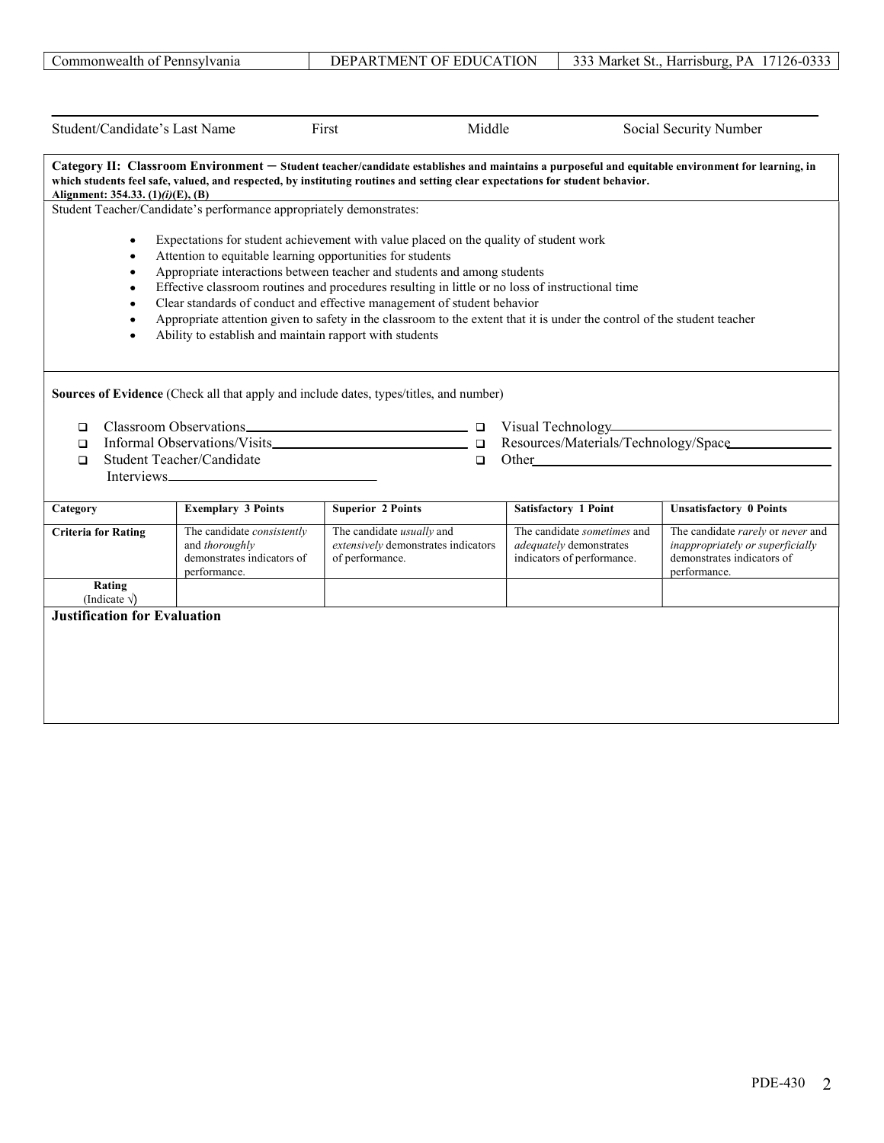|                                     | Student/Candidate's Last Name                                       | First<br>Middle                                                                                                                                                                                                                                                                   |                             | Social Security Number                                                 |
|-------------------------------------|---------------------------------------------------------------------|-----------------------------------------------------------------------------------------------------------------------------------------------------------------------------------------------------------------------------------------------------------------------------------|-----------------------------|------------------------------------------------------------------------|
| Alignment: 354.33. (1)(i)(E), (B)   |                                                                     | Category II: Classroom Environment - Student teacher/candidate establishes and maintains a purposeful and equitable environment for learning, in<br>which students feel safe, valued, and respected, by instituting routines and setting clear expectations for student behavior. |                             |                                                                        |
|                                     | Student Teacher/Candidate's performance appropriately demonstrates: |                                                                                                                                                                                                                                                                                   |                             |                                                                        |
| $\bullet$                           |                                                                     | Expectations for student achievement with value placed on the quality of student work                                                                                                                                                                                             |                             |                                                                        |
| ٠                                   | Attention to equitable learning opportunities for students          |                                                                                                                                                                                                                                                                                   |                             |                                                                        |
| ٠                                   |                                                                     | Appropriate interactions between teacher and students and among students                                                                                                                                                                                                          |                             |                                                                        |
| $\bullet$<br>$\bullet$              |                                                                     | Effective classroom routines and procedures resulting in little or no loss of instructional time<br>Clear standards of conduct and effective management of student behavior                                                                                                       |                             |                                                                        |
| $\bullet$                           |                                                                     | Appropriate attention given to safety in the classroom to the extent that it is under the control of the student teacher                                                                                                                                                          |                             |                                                                        |
| $\bullet$                           | Ability to establish and maintain rapport with students             |                                                                                                                                                                                                                                                                                   |                             |                                                                        |
|                                     |                                                                     |                                                                                                                                                                                                                                                                                   |                             |                                                                        |
| $\Box$<br>□<br>Category             | Student Teacher/Candidate<br><b>Exemplary 3 Points</b>              | $\Box$<br><b>Superior 2 Points</b>                                                                                                                                                                                                                                                | <b>Satisfactory 1 Point</b> | Resources/Materials/Technology/Space<br><b>Unsatisfactory 0 Points</b> |
| <b>Criteria for Rating</b>          | The candidate consistently                                          | The candidate usually and                                                                                                                                                                                                                                                         | The candidate sometimes and | The candidate rarely or never and                                      |
|                                     | and thoroughly                                                      | extensively demonstrates indicators                                                                                                                                                                                                                                               | adequately demonstrates     | inappropriately or superficially                                       |
|                                     | demonstrates indicators of                                          | of performance.                                                                                                                                                                                                                                                                   | indicators of performance.  | demonstrates indicators of                                             |
| Rating<br>(Indicate $\sqrt{}$ )     | performance.                                                        |                                                                                                                                                                                                                                                                                   |                             | performance.                                                           |
|                                     |                                                                     |                                                                                                                                                                                                                                                                                   |                             |                                                                        |
|                                     |                                                                     |                                                                                                                                                                                                                                                                                   |                             |                                                                        |
|                                     |                                                                     |                                                                                                                                                                                                                                                                                   |                             |                                                                        |
| <b>Justification for Evaluation</b> |                                                                     |                                                                                                                                                                                                                                                                                   |                             |                                                                        |
|                                     |                                                                     |                                                                                                                                                                                                                                                                                   |                             |                                                                        |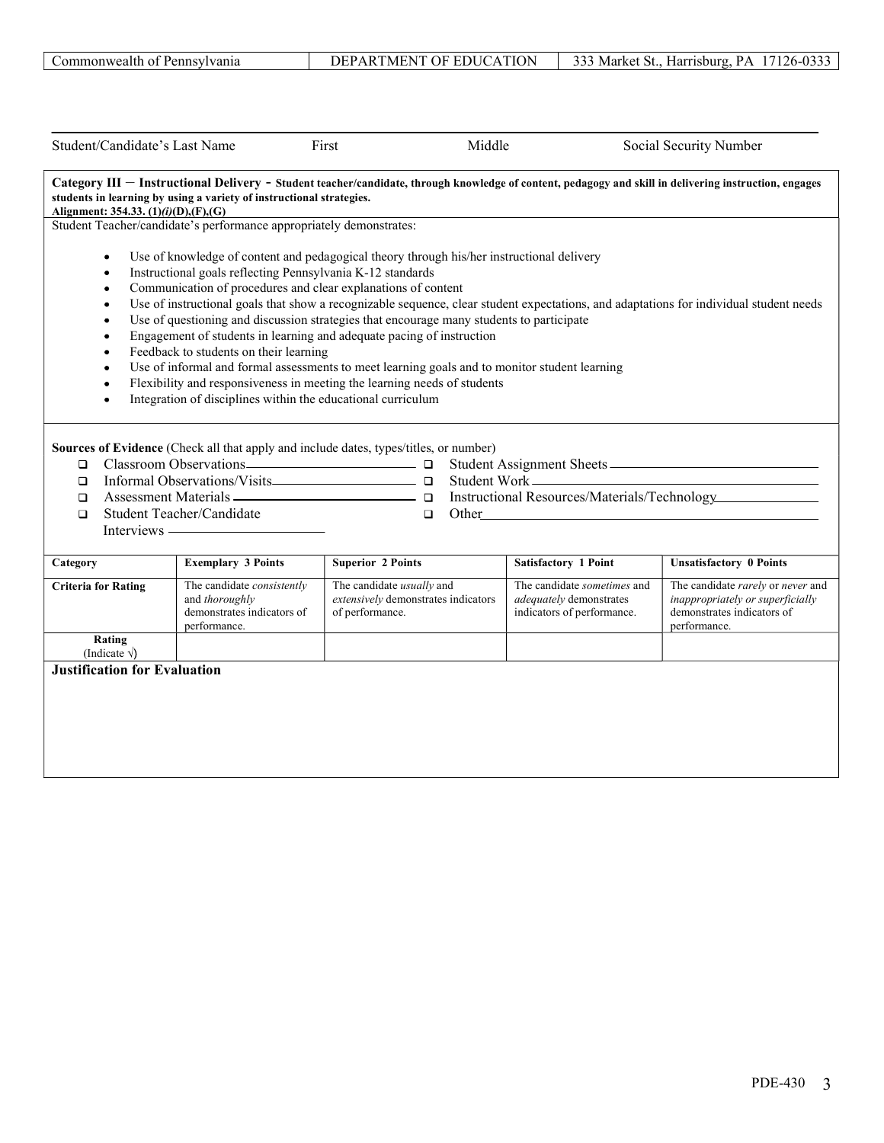| Student/Candidate's Last Name                                                                                                                                                                                                                                          | First                                                                                                                      | Middle                                                                                                                                                                                                                                                                                                                                                                                                                                                                                                       |                                                                                                                                                                                                                                | Social Security Number                                                                                                                 |
|------------------------------------------------------------------------------------------------------------------------------------------------------------------------------------------------------------------------------------------------------------------------|----------------------------------------------------------------------------------------------------------------------------|--------------------------------------------------------------------------------------------------------------------------------------------------------------------------------------------------------------------------------------------------------------------------------------------------------------------------------------------------------------------------------------------------------------------------------------------------------------------------------------------------------------|--------------------------------------------------------------------------------------------------------------------------------------------------------------------------------------------------------------------------------|----------------------------------------------------------------------------------------------------------------------------------------|
| Category III - Instructional Delivery - Student teacher/candidate, through knowledge of content, pedagogy and skill in delivering instruction, engages<br>students in learning by using a variety of instructional strategies.<br>Alignment: 354.33. (1)(i)(D),(F),(G) |                                                                                                                            |                                                                                                                                                                                                                                                                                                                                                                                                                                                                                                              |                                                                                                                                                                                                                                |                                                                                                                                        |
| Student Teacher/candidate's performance appropriately demonstrates:                                                                                                                                                                                                    |                                                                                                                            |                                                                                                                                                                                                                                                                                                                                                                                                                                                                                                              |                                                                                                                                                                                                                                |                                                                                                                                        |
| $\bullet$<br>$\bullet$<br>$\bullet$<br>٠<br>٠<br>٠<br>Feedback to students on their learning<br>٠<br>Sources of Evidence (Check all that apply and include dates, types/titles, or number)<br>$\Box$<br>$\Box$<br>$\Box$                                               | Instructional goals reflecting Pennsylvania K-12 standards<br>Integration of disciplines within the educational curriculum | Use of knowledge of content and pedagogical theory through his/her instructional delivery<br>Communication of procedures and clear explanations of content<br>Use of questioning and discussion strategies that encourage many students to participate<br>Engagement of students in learning and adequate pacing of instruction<br>Use of informal and formal assessments to meet learning goals and to monitor student learning<br>Flexibility and responsiveness in meeting the learning needs of students |                                                                                                                                                                                                                                | Use of instructional goals that show a recognizable sequence, clear student expectations, and adaptations for individual student needs |
| Student Teacher/Candidate<br>$\Box$                                                                                                                                                                                                                                    |                                                                                                                            | $\Box$                                                                                                                                                                                                                                                                                                                                                                                                                                                                                                       | Other the contract of the contract of the contract of the contract of the contract of the contract of the contract of the contract of the contract of the contract of the contract of the contract of the contract of the cont |                                                                                                                                        |
| Category                                                                                                                                                                                                                                                               | <b>Exemplary 3 Points</b>                                                                                                  | <b>Superior 2 Points</b>                                                                                                                                                                                                                                                                                                                                                                                                                                                                                     | Satisfactory 1 Point                                                                                                                                                                                                           | <b>Unsatisfactory 0 Points</b>                                                                                                         |
| <b>Criteria for Rating</b><br>and thoroughly<br>performance.                                                                                                                                                                                                           | The candidate consistently<br>demonstrates indicators of                                                                   | The candidate usually and<br>extensively demonstrates indicators<br>of performance.                                                                                                                                                                                                                                                                                                                                                                                                                          | The candidate sometimes and<br>adequately demonstrates<br>indicators of performance.                                                                                                                                           | The candidate rarely or never and<br>inappropriately or superficially<br>demonstrates indicators of<br>performance.                    |
| Rating<br>(Indicate $\sqrt{}$ )                                                                                                                                                                                                                                        |                                                                                                                            |                                                                                                                                                                                                                                                                                                                                                                                                                                                                                                              |                                                                                                                                                                                                                                |                                                                                                                                        |
| <b>Justification for Evaluation</b>                                                                                                                                                                                                                                    |                                                                                                                            |                                                                                                                                                                                                                                                                                                                                                                                                                                                                                                              |                                                                                                                                                                                                                                |                                                                                                                                        |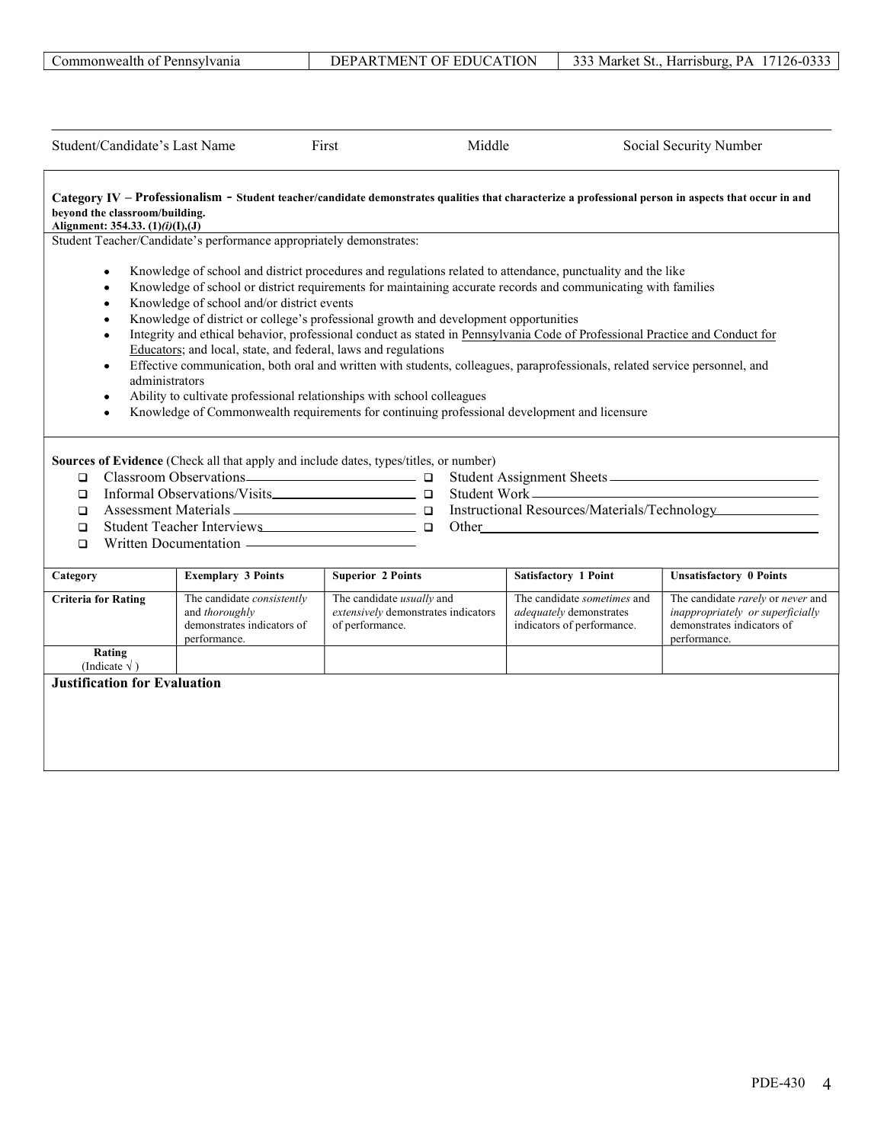|                                                                    | Student/Candidate's Last Name                                                                                                  | Middle<br>First                                                                                                                                                                                                                                                                                                                                                                                                                                                                                                                                                                                                                                                                                                                                               |                                                                                             | Social Security Number                                                                                              |
|--------------------------------------------------------------------|--------------------------------------------------------------------------------------------------------------------------------|---------------------------------------------------------------------------------------------------------------------------------------------------------------------------------------------------------------------------------------------------------------------------------------------------------------------------------------------------------------------------------------------------------------------------------------------------------------------------------------------------------------------------------------------------------------------------------------------------------------------------------------------------------------------------------------------------------------------------------------------------------------|---------------------------------------------------------------------------------------------|---------------------------------------------------------------------------------------------------------------------|
| beyond the classroom/building.<br>Alignment: 354.33. (1)(i)(I),(J) |                                                                                                                                | Category IV - Professionalism - Student teacher/candidate demonstrates qualities that characterize a professional person in aspects that occur in and                                                                                                                                                                                                                                                                                                                                                                                                                                                                                                                                                                                                         |                                                                                             |                                                                                                                     |
|                                                                    | Student Teacher/Candidate's performance appropriately demonstrates:                                                            |                                                                                                                                                                                                                                                                                                                                                                                                                                                                                                                                                                                                                                                                                                                                                               |                                                                                             |                                                                                                                     |
| $\bullet$                                                          | Knowledge of school and/or district events<br>Educators; and local, state, and federal, laws and regulations<br>administrators | Knowledge of school and district procedures and regulations related to attendance, punctuality and the like<br>Knowledge of school or district requirements for maintaining accurate records and communicating with families<br>Knowledge of district or college's professional growth and development opportunities<br>Integrity and ethical behavior, professional conduct as stated in Pennsylvania Code of Professional Practice and Conduct for<br>Effective communication, both oral and written with students, colleagues, paraprofessionals, related service personnel, and<br>Ability to cultivate professional relationships with school colleagues<br>Knowledge of Commonwealth requirements for continuing professional development and licensure |                                                                                             |                                                                                                                     |
| $\Box$<br>$\Box$<br>□<br>$\Box$<br>$\Box$                          | Written Documentation ————————————————————                                                                                     | Sources of Evidence (Check all that apply and include dates, types/titles, or number)<br>Student Teacher Interviews and the Company of Company of Company of Company of Company of Company of Company of Company of Company of Company of Company of Company of Company of Company of Company of Company of Company of                                                                                                                                                                                                                                                                                                                                                                                                                                        |                                                                                             | Student Work<br>Instructional Resources/Materials/Technology                                                        |
| Category                                                           | <b>Exemplary 3 Points</b>                                                                                                      | <b>Superior 2 Points</b>                                                                                                                                                                                                                                                                                                                                                                                                                                                                                                                                                                                                                                                                                                                                      | <b>Satisfactory 1 Point</b>                                                                 | <b>Unsatisfactory 0 Points</b>                                                                                      |
| <b>Criteria for Rating</b>                                         | The candidate consistently<br>and thoroughly<br>demonstrates indicators of<br>performance.                                     | The candidate <i>usually</i> and<br>extensively demonstrates indicators<br>of performance.                                                                                                                                                                                                                                                                                                                                                                                                                                                                                                                                                                                                                                                                    | The candidate sometimes and<br><i>adequately</i> demonstrates<br>indicators of performance. | The candidate rarely or never and<br>inappropriately or superficially<br>demonstrates indicators of<br>performance. |
| Rating<br>(Indicate $\sqrt{}$ )                                    |                                                                                                                                |                                                                                                                                                                                                                                                                                                                                                                                                                                                                                                                                                                                                                                                                                                                                                               |                                                                                             |                                                                                                                     |
| <b>Justification for Evaluation</b>                                |                                                                                                                                |                                                                                                                                                                                                                                                                                                                                                                                                                                                                                                                                                                                                                                                                                                                                                               |                                                                                             |                                                                                                                     |
|                                                                    |                                                                                                                                |                                                                                                                                                                                                                                                                                                                                                                                                                                                                                                                                                                                                                                                                                                                                                               |                                                                                             |                                                                                                                     |